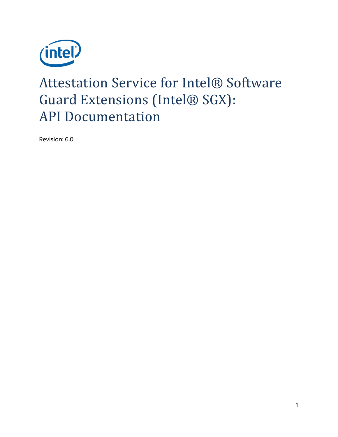

# Attestation Service for Intel® Software Guard Extensions (Intel® SGX): API Documentation

Revision: 6.0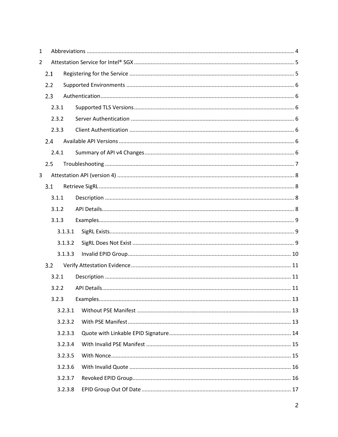| $\mathbf{1}$   |       |         |  |
|----------------|-------|---------|--|
| $\overline{2}$ |       |         |  |
|                | 2.1   |         |  |
|                | 2.2   |         |  |
|                | 2.3   |         |  |
|                | 2.3.1 |         |  |
|                | 2.3.2 |         |  |
|                | 2.3.3 |         |  |
|                | 2.4   |         |  |
|                | 2.4.1 |         |  |
|                | 2.5   |         |  |
| 3              |       |         |  |
|                | 3.1   |         |  |
|                | 3.1.1 |         |  |
|                | 3.1.2 |         |  |
|                | 3.1.3 |         |  |
|                |       | 3.1.3.1 |  |
|                |       | 3.1.3.2 |  |
|                |       | 3.1.3.3 |  |
|                | 3.2   |         |  |
|                | 3.2.1 |         |  |
|                | 3.2.2 |         |  |
|                | 3.2.3 |         |  |
|                |       | 3.2.3.1 |  |
|                |       | 3.2.3.2 |  |
|                |       | 3.2.3.3 |  |
|                |       | 3.2.3.4 |  |
|                |       | 3.2.3.5 |  |
|                |       | 3.2.3.6 |  |
|                |       | 3.2.3.7 |  |
|                |       | 3.2.3.8 |  |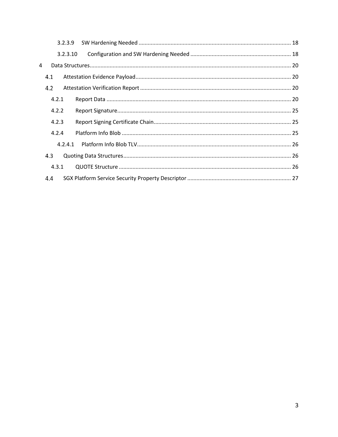|   | 3.2.3.9  |  |
|---|----------|--|
|   | 3.2.3.10 |  |
| 4 |          |  |
|   | 4.1      |  |
|   | 4.2      |  |
|   | 4.2.1    |  |
|   | 4.2.2    |  |
|   | 4.2.3    |  |
|   | 4.2.4    |  |
|   | 4.2.4.1  |  |
|   | 4.3      |  |
|   | 4.3.1    |  |
|   | 4.4      |  |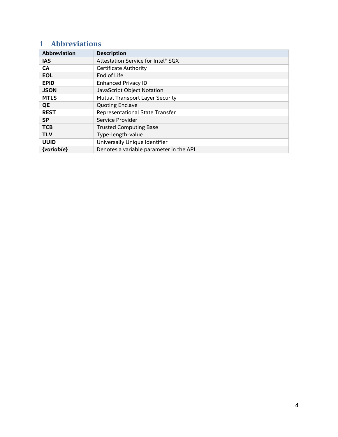# <span id="page-3-0"></span>**1 Abbreviations**

| <b>Abbreviation</b> | <b>Description</b>                      |
|---------------------|-----------------------------------------|
| <b>IAS</b>          | Attestation Service for Intel® SGX      |
| <b>CA</b>           | <b>Certificate Authority</b>            |
| <b>EOL</b>          | End of Life                             |
| <b>EPID</b>         | <b>Enhanced Privacy ID</b>              |
| <b>JSON</b>         | JavaScript Object Notation              |
| <b>MTLS</b>         | Mutual Transport Layer Security         |
| <b>QE</b>           | <b>Quoting Enclave</b>                  |
| <b>REST</b>         | Representational State Transfer         |
| <b>SP</b>           | Service Provider                        |
| <b>TCB</b>          | <b>Trusted Computing Base</b>           |
| <b>TLV</b>          | Type-length-value                       |
| <b>UUID</b>         | Universally Unique Identifier           |
| {variable}          | Denotes a variable parameter in the API |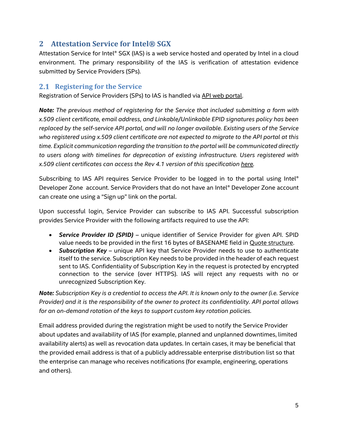## <span id="page-4-0"></span>**2 Attestation Service for Intel® SGX**

Attestation Service for Intel® SGX (IAS) is a web service hosted and operated by Intel in a cloud environment. The primary responsibility of the IAS is verification of attestation evidence submitted by Service Providers (SPs).

## <span id="page-4-1"></span>**2.1 Registering for the Service**

Registration of Service Providers (SPs) to IAS is handled vi[a API web portal.](http://api.portal.trustedservices.intel.com/) 

*Note: The previous method of registering for the Service that included submitting a form with x.509 client certificate, email address, and Linkable/Unlinkable EPID signatures policy has been replaced by the self-service API portal, and will no longer available. Existing users of the Service who registered using x.509 client certificate are not expected to migrate to the API portal at this time. Explicit communication regarding the transition to the portal will be communicated directly to users along with timelines for deprecation of existing infrastructure. Users registered with x.509 client certificates can access the Rev 4.1 version of this specification [here.](https://api.trustedservices.intel.com/documents/IAS-API-Spec-rev-4.0.pdf)*

Subscribing to IAS API requires Service Provider to be logged in to the portal using Intel® Developer Zone account. Service Providers that do not have an Intel® Developer Zone account can create one using a "Sign up" link on the portal.

Upon successful login, Service Provider can subscribe to IAS API. Successful subscription provides Service Provider with the following artifacts required to use the API:

- *Service Provider ID (SPID)* unique identifier of Service Provider for given API. SPID value needs to be provided in the first 16 bytes of BASENAME field in [Quote structure.](#page-25-2)
- *Subscription Key* unique API key that Service Provider needs to use to authenticate itself to the service. Subscription Key needs to be provided in the header of each request sent to IAS. Confidentiality of Subscription Key in the request is protected by encrypted connection to the service (over HTTPS). IAS will reject any requests with no or unrecognized Subscription Key.

*Note: Subscription Key is a credential to access the API. It is known only to the owner (i.e. Service Provider) and it is the responsibility of the owner to protect its confidentiality. API portal allows for an on-demand rotation of the keys to support custom key rotation policies.*

Email address provided during the registration might be used to notify the Service Provider about updates and availability of IAS (for example, planned and unplanned downtimes, limited availability alerts) as well as revocation data updates. In certain cases, it may be beneficial that the provided email address is that of a publicly addressable enterprise distribution list so that the enterprise can manage who receives notifications (for example, engineering, operations and others).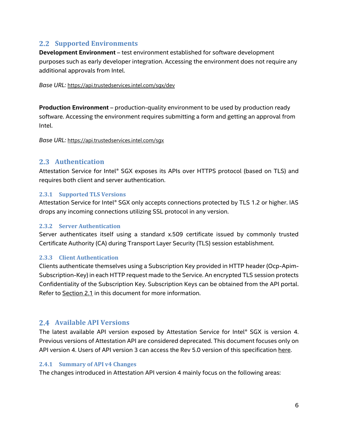## <span id="page-5-0"></span>**2.2 Supported Environments**

**Development Environment** – test environment established for software development purposes such as early developer integration. Accessing the environment does not require any additional approvals from Intel.

*Base URL:* <https://api.trustedservices.intel.com/sgx/dev>

**Production Environment** – production-quality environment to be used by production ready software. Accessing the environment requires submitting a form and getting an approval from Intel.

*Base URL:* <https://api.trustedservices.intel.com/sgx>

## <span id="page-5-1"></span>2.3 **Authentication**

Attestation Service for Intel® SGX exposes its APIs over HTTPS protocol (based on TLS) and requires both client and server authentication.

#### <span id="page-5-2"></span>**2.3.1 Supported TLS Versions**

Attestation Service for Intel® SGX only accepts connections protected by TLS 1.2 or higher. IAS drops any incoming connections utilizing SSL protocol in any version.

#### <span id="page-5-3"></span>**2.3.2 Server Authentication**

Server authenticates itself using a standard x.509 certificate issued by commonly trusted Certificate Authority (CA) during Transport Layer Security (TLS) session establishment.

## <span id="page-5-4"></span>**2.3.3 Client Authentication**

Clients authenticate themselves using a Subscription Key provided in HTTP header (Ocp-Apim-Subscription-Key) in each HTTP request made to the Service. An encrypted TLS session protects Confidentiality of the Subscription Key. Subscription Keys can be obtained from the API portal. Refer to [Section 2.1](#page-4-1) in this document for more information.

## <span id="page-5-5"></span>**Available API Versions**

The latest available API version exposed by Attestation Service for Intel® SGX is version 4. Previous versions of Attestation API are considered deprecated. This document focuses only on API version 4. Users of API version 3 can access the Rev 5.0 version of this specification [here.](https://api.trustedservices.intel.com/documents/IAS-API-Spec-rev-5.0.pdf)

#### <span id="page-5-6"></span>**2.4.1 Summary of API v4 Changes**

The changes introduced in Attestation API version 4 mainly focus on the following areas: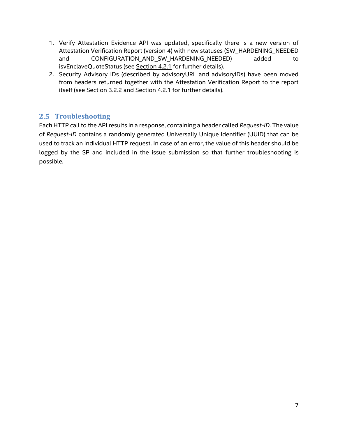- 1. Verify Attestation Evidence API was updated, specifically there is a new version of Attestation Verification Report (version 4) with new statuses (SW\_HARDENING\_NEEDED and CONFIGURATION\_AND\_SW\_HARDENING\_NEEDED) added to isvEnclaveQuoteStatus (see [Section 4.2.1](#page-19-3) for further details).
- 2. Security Advisory IDs (described by advisoryURL and advisoryIDs) have been moved from headers returned together with the Attestation Verification Report to the report itself (se[e Section 3.2.2](#page-10-2) and [Section 4.2.1](#page-19-3) for further details).

## <span id="page-6-0"></span>**2.5 Troubleshooting**

Each HTTP call to the API results in a response, containing a header called *Request-ID.* The value of *Request-ID* contains a randomly generated Universally Unique Identifier (UUID) that can be used to track an individual HTTP request. In case of an error, the value of this header should be logged by the SP and included in the issue submission so that further troubleshooting is possible.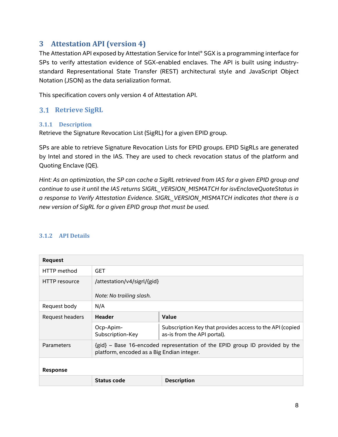## <span id="page-7-0"></span>**3 Attestation API (version 4)**

The Attestation API exposed by Attestation Service for Intel® SGX is a programming interface for SPs to verify attestation evidence of SGX-enabled enclaves. The API is built using industrystandard Representational State Transfer (REST) architectural style and JavaScript Object Notation (JSON) as the data serialization format.

This specification covers only version 4 of Attestation API.

## <span id="page-7-1"></span>**3.1 Retrieve SigRL**

#### <span id="page-7-2"></span>**3.1.1 Description**

Retrieve the Signature Revocation List (SigRL) for a given EPID group.

SPs are able to retrieve Signature Revocation Lists for EPID groups. EPID SigRLs are generated by Intel and stored in the IAS. They are used to check revocation status of the platform and Quoting Enclave (QE).

*Hint: As an optimization, the SP can cache a SigRL retrieved from IAS for a given EPID group and continue to use it until the IAS returns SIGRL\_VERSION\_MISMATCH for isvEnclaveQuoteStatus in a response to Verify Attestation Evidence. SIGRL\_VERSION\_MISMATCH indicates that there is a new version of SigRL for a given EPID group that must be used.*

#### <span id="page-7-3"></span>**3.1.2 API Details**

| <b>Request</b>  |                                                                                                                           |                                                                                         |  |  |
|-----------------|---------------------------------------------------------------------------------------------------------------------------|-----------------------------------------------------------------------------------------|--|--|
| HTTP method     | <b>GET</b>                                                                                                                |                                                                                         |  |  |
| HTTP resource   | /attestation/v4/sigrl/{gid}<br>Note: No trailing slash.                                                                   |                                                                                         |  |  |
| Request body    | N/A                                                                                                                       |                                                                                         |  |  |
| Request headers | <b>Header</b>                                                                                                             | Value                                                                                   |  |  |
|                 | Ocp-Apim-<br>Subscription-Key                                                                                             | Subscription Key that provides access to the API (copied<br>as-is from the API portal). |  |  |
| Parameters      | {gid} - Base 16-encoded representation of the EPID group ID provided by the<br>platform, encoded as a Big Endian integer. |                                                                                         |  |  |
| Response        |                                                                                                                           |                                                                                         |  |  |
|                 | <b>Status code</b>                                                                                                        | <b>Description</b>                                                                      |  |  |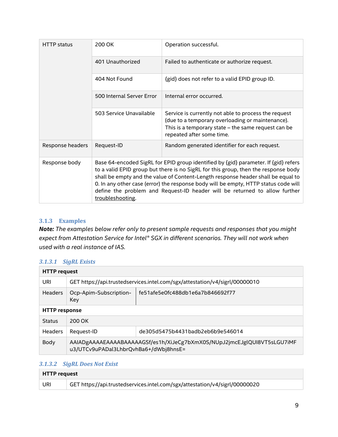| <b>HTTP</b> status | 200 OK                    | Operation successful.                                                                                                                                                                                                                                                                                                                                                                                                              |
|--------------------|---------------------------|------------------------------------------------------------------------------------------------------------------------------------------------------------------------------------------------------------------------------------------------------------------------------------------------------------------------------------------------------------------------------------------------------------------------------------|
|                    | 401 Unauthorized          | Failed to authenticate or authorize request.                                                                                                                                                                                                                                                                                                                                                                                       |
|                    | 404 Not Found             | {gid} does not refer to a valid EPID group ID.                                                                                                                                                                                                                                                                                                                                                                                     |
|                    | 500 Internal Server Error | Internal error occurred.                                                                                                                                                                                                                                                                                                                                                                                                           |
|                    | 503 Service Unavailable   | Service is currently not able to process the request<br>(due to a temporary overloading or maintenance).<br>This is a temporary state - the same request can be<br>repeated after some time.                                                                                                                                                                                                                                       |
| Response headers   | Request-ID                | Random generated identifier for each request.                                                                                                                                                                                                                                                                                                                                                                                      |
| Response body      | troubleshooting.          | Base 64-encoded SigRL for EPID group identified by {gid} parameter. If {gid} refers<br>to a valid EPID group but there is no SigRL for this group, then the response body<br>shall be empty and the value of Content-Length response header shall be equal to<br>0. In any other case (error) the response body will be empty, HTTP status code will<br>define the problem and Request-ID header will be returned to allow further |

#### <span id="page-8-0"></span>**3.1.3 Examples**

*Note: The examples below refer only to present sample requests and responses that you might expect from Attestation Service for Intel® SGX in different scenarios. They will not work when used with a real instance of IAS.*

#### <span id="page-8-1"></span>*3.1.3.1 SigRL Exists*

| <b>HTTP request</b>  |                                                                                                                  |  |  |
|----------------------|------------------------------------------------------------------------------------------------------------------|--|--|
| URI                  | GET https://api.trustedservices.intel.com/sgx/attestation/v4/sigrl/00000010                                      |  |  |
| <b>Headers</b>       | fe51afe5e0fc488db1e6a7b846692f77<br>Ocp-Apim-Subscription-<br>Key                                                |  |  |
| <b>HTTP</b> response |                                                                                                                  |  |  |
| <b>Status</b>        | 200 OK                                                                                                           |  |  |
| Headers              | de305d5475b4431badb2eb6b9e546014<br>Request-ID                                                                   |  |  |
| Body                 | AAIADgAAAAEAAAABAAAAAGSf/es1h/XiJeCg7bXmX0S/NUpJ2jmcEJglQUI8VT5sLGU7iMF<br>u3/UTCv9uPADal3LhbrQvhBa6+/dWbj8hnsE= |  |  |

#### <span id="page-8-2"></span>*3.1.3.2 SigRL Does Not Exist*

| HTTP request |                                                                             |  |
|--------------|-----------------------------------------------------------------------------|--|
| URI          | GET https://api.trustedservices.intel.com/sgx/attestation/v4/sigrl/00000020 |  |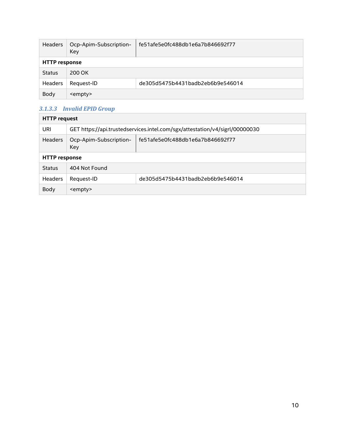| <b>Headers</b>       | Ocp-Apim-Subscription-<br>Key | fe51afe5e0fc488db1e6a7b846692f77 |  |
|----------------------|-------------------------------|----------------------------------|--|
| <b>HTTP</b> response |                               |                                  |  |
| <b>Status</b>        | 200 OK                        |                                  |  |
| <b>Headers</b>       | Request-ID                    | de305d5475b4431badb2eb6b9e546014 |  |
| Body                 | <empty></empty>               |                                  |  |

#### <span id="page-9-0"></span>*3.1.3.3 Invalid EPID Group*

| <b>HTTP</b> request  |                                                                             |  |  |
|----------------------|-----------------------------------------------------------------------------|--|--|
| URI                  | GET https://api.trustedservices.intel.com/sgx/attestation/v4/sigrl/00000030 |  |  |
| <b>Headers</b>       | fe51afe5e0fc488db1e6a7b846692f77<br>Ocp-Apim-Subscription-<br>Key           |  |  |
| <b>HTTP response</b> |                                                                             |  |  |
| <b>Status</b>        | 404 Not Found                                                               |  |  |
| <b>Headers</b>       | de305d5475b4431badb2eb6b9e546014<br>Request-ID                              |  |  |
| Body                 | <empty></empty>                                                             |  |  |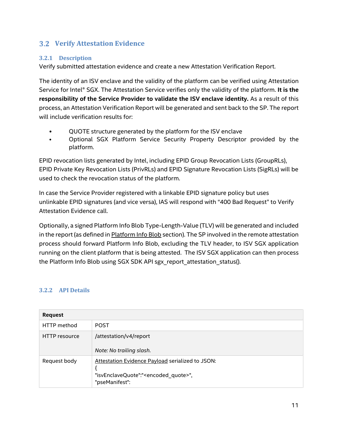## <span id="page-10-0"></span>**Verify Attestation Evidence**

#### <span id="page-10-1"></span>**3.2.1 Description**

Verify submitted attestation evidence and create a new Attestation Verification Report.

The identity of an ISV enclave and the validity of the platform can be verified using Attestation Service for Intel® SGX. The Attestation Service verifies only the validity of the platform. **It is the responsibility of the Service Provider to validate the ISV enclave identity.** As a result of this process, an Attestation Verification Report will be generated and sent back to the SP. The report will include verification results for:

- QUOTE structure generated by the platform for the ISV enclave
- Optional SGX Platform Service Security Property Descriptor provided by the platform.

EPID revocation lists generated by Intel, including EPID Group Revocation Lists (GroupRLs), EPID Private Key Revocation Lists (PrivRLs) and EPID Signature Revocation Lists (SigRLs) will be used to check the revocation status of the platform.

In case the Service Provider registered with a linkable EPID signature policy but uses unlinkable EPID signatures (and vice versa), IAS will respond with "400 Bad Request" to Verify Attestation Evidence call.

Optionally, a signed Platform Info Blob Type-Length-Value (TLV) will be generated and included in the report (as defined in [Platform Info Blob](#page-24-2) section). The SP involved in the remote attestation process should forward Platform Info Blob, excluding the TLV header, to ISV SGX application running on the client platform that is being attested. The ISV SGX application can then process the Platform Info Blob using SGX SDK API sgx\_report\_attestation\_status().

#### <span id="page-10-2"></span>**3.2.2 API Details**

| <b>Request</b>       |                                                                                                                              |  |
|----------------------|------------------------------------------------------------------------------------------------------------------------------|--|
| HTTP method          | <b>POST</b>                                                                                                                  |  |
| <b>HTTP</b> resource | /attestation/v4/report<br>Note: No trailing slash.                                                                           |  |
| Request body         | Attestation Evidence Payload serialized to JSON:<br>"isvEnclaveQuote":" <encoded_quote>",<br/>"pseManifest":</encoded_quote> |  |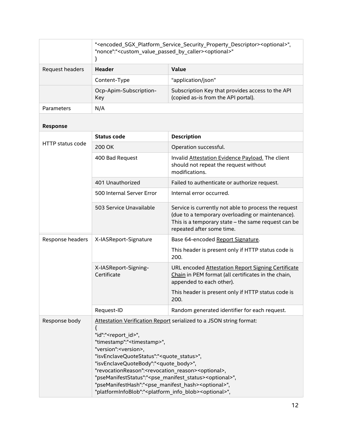|                         | " <encoded_sgx_platform_service_security_property_descriptor><optional>",<br/>"nonce":"<custom_value_passed_by_caller><optional>"<br/>}</optional></custom_value_passed_by_caller></optional></encoded_sgx_platform_service_security_property_descriptor>                                                                                                                                                                                                                                                                                                                                                                                                                      |                                                                                                                                                                                              |  |
|-------------------------|--------------------------------------------------------------------------------------------------------------------------------------------------------------------------------------------------------------------------------------------------------------------------------------------------------------------------------------------------------------------------------------------------------------------------------------------------------------------------------------------------------------------------------------------------------------------------------------------------------------------------------------------------------------------------------|----------------------------------------------------------------------------------------------------------------------------------------------------------------------------------------------|--|
| Request headers         | <b>Header</b>                                                                                                                                                                                                                                                                                                                                                                                                                                                                                                                                                                                                                                                                  | Value                                                                                                                                                                                        |  |
|                         | Content-Type                                                                                                                                                                                                                                                                                                                                                                                                                                                                                                                                                                                                                                                                   | "application/json"                                                                                                                                                                           |  |
|                         | Ocp-Apim-Subscription-<br>Key                                                                                                                                                                                                                                                                                                                                                                                                                                                                                                                                                                                                                                                  | Subscription Key that provides access to the API<br>(copied as-is from the API portal).                                                                                                      |  |
| Parameters              | N/A                                                                                                                                                                                                                                                                                                                                                                                                                                                                                                                                                                                                                                                                            |                                                                                                                                                                                              |  |
| Response                |                                                                                                                                                                                                                                                                                                                                                                                                                                                                                                                                                                                                                                                                                |                                                                                                                                                                                              |  |
|                         | <b>Status code</b>                                                                                                                                                                                                                                                                                                                                                                                                                                                                                                                                                                                                                                                             | <b>Description</b>                                                                                                                                                                           |  |
| <b>HTTP status code</b> | 200 OK                                                                                                                                                                                                                                                                                                                                                                                                                                                                                                                                                                                                                                                                         | Operation successful.                                                                                                                                                                        |  |
|                         | 400 Bad Request                                                                                                                                                                                                                                                                                                                                                                                                                                                                                                                                                                                                                                                                | Invalid Attestation Evidence Payload. The client<br>should not repeat the request without<br>modifications.                                                                                  |  |
|                         | 401 Unauthorized                                                                                                                                                                                                                                                                                                                                                                                                                                                                                                                                                                                                                                                               | Failed to authenticate or authorize request.                                                                                                                                                 |  |
|                         | 500 Internal Server Error                                                                                                                                                                                                                                                                                                                                                                                                                                                                                                                                                                                                                                                      | Internal error occurred.                                                                                                                                                                     |  |
|                         | 503 Service Unavailable                                                                                                                                                                                                                                                                                                                                                                                                                                                                                                                                                                                                                                                        | Service is currently not able to process the request<br>(due to a temporary overloading or maintenance).<br>This is a temporary state - the same request can be<br>repeated after some time. |  |
| Response headers        | X-IASReport-Signature                                                                                                                                                                                                                                                                                                                                                                                                                                                                                                                                                                                                                                                          | Base 64-encoded Report Signature.                                                                                                                                                            |  |
|                         |                                                                                                                                                                                                                                                                                                                                                                                                                                                                                                                                                                                                                                                                                | This header is present only if HTTP status code is<br>200.                                                                                                                                   |  |
|                         | X-IASReport-Signing-<br>Certificate                                                                                                                                                                                                                                                                                                                                                                                                                                                                                                                                                                                                                                            | URL encoded Attestation Report Signing Certificate<br>Chain in PEM format (all certificates in the chain,<br>appended to each other).                                                        |  |
|                         |                                                                                                                                                                                                                                                                                                                                                                                                                                                                                                                                                                                                                                                                                | This header is present only if HTTP status code is<br>200.                                                                                                                                   |  |
|                         | Request-ID                                                                                                                                                                                                                                                                                                                                                                                                                                                                                                                                                                                                                                                                     | Random generated identifier for each request.                                                                                                                                                |  |
| Response body           | Attestation Verification Report serialized to a JSON string format:<br>€<br>"id":" <report_id>",<br/>"timestamp":"<timestamp>",<br/>"version":<version>,<br/>"isvEnclaveQuoteStatus":"<quote_status>",<br/>"isvEnclaveQuoteBody":"<quote_body>",<br/>"revocationReason":<revocation_reason><optional>,<br/>"pseManifestStatus":"<pse_manifest_status><optional>",<br/>"pseManifestHash":"<pse_manifest_hash><optional>",<br/>"platformInfoBlob":"<platform_info_blob><optional>",</optional></platform_info_blob></optional></pse_manifest_hash></optional></pse_manifest_status></optional></revocation_reason></quote_body></quote_status></version></timestamp></report_id> |                                                                                                                                                                                              |  |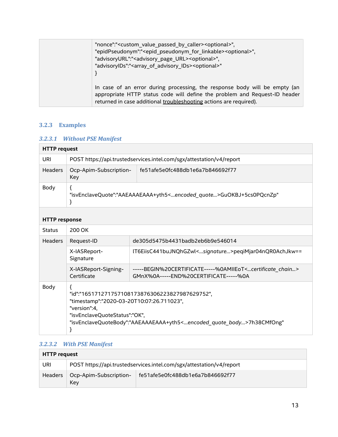| "nonce":" <custom by="" caller="" passed="" value=""><optional>",<br/>"epidPseudonym":"<epid_pseudonym_for_linkable><optional>",<br/>"advisoryURL":"<advisory_page_url><optional>",<br/>"advisoryIDs":"<array_of_advisory_ids><optional>"</optional></array_of_advisory_ids></optional></advisory_page_url></optional></epid_pseudonym_for_linkable></optional></custom> |
|--------------------------------------------------------------------------------------------------------------------------------------------------------------------------------------------------------------------------------------------------------------------------------------------------------------------------------------------------------------------------|
| In case of an error during processing, the response body will be empty (an<br>appropriate HTTP status code will define the problem and Request-ID header<br>returned in case additional troubleshooting actions are required).                                                                                                                                           |

## <span id="page-12-0"></span>**3.2.3 Examples**

## <span id="page-12-1"></span>*3.2.3.1 Without PSE Manifest*

| <b>HTTP request</b> |                                                                      |                                                                                   |
|---------------------|----------------------------------------------------------------------|-----------------------------------------------------------------------------------|
| URI                 | POST https://api.trustedservices.intel.com/sgx/attestation/v4/report |                                                                                   |
| <b>Headers</b>      | Ocp-Apim-Subscription-<br>Key                                        | fe51afe5e0fc488db1e6a7b846692f77                                                  |
| Body                |                                                                      | "isvEnclaveQuote":"AAEAAAEAAA+yth5 <encoded quote="">GuOKBJ+5cs0PQcnZp"</encoded> |

#### **HTTP response**

| <u>III II ICONOMISE</u> |                                                                                                                                                                                                                                         |                                                                                                                          |
|-------------------------|-----------------------------------------------------------------------------------------------------------------------------------------------------------------------------------------------------------------------------------------|--------------------------------------------------------------------------------------------------------------------------|
| <b>Status</b>           | 200 OK                                                                                                                                                                                                                                  |                                                                                                                          |
| <b>Headers</b>          | Request-ID                                                                                                                                                                                                                              | de305d5475b4431badb2eb6b9e546014                                                                                         |
|                         | X-IASReport-<br>Signature                                                                                                                                                                                                               | IT6EiisC441buJNQhGZwl <signature>peqiMjar04nQR0AchJkw==</signature>                                                      |
|                         | X-IASReport-Signing-<br>Certificate                                                                                                                                                                                                     | -----BEGIN%20CERTIFICATE-----%0AMIIEoT <certificate_chain><br/>GMnX%0A-----END%20CERTIFICATE-----%0A</certificate_chain> |
| Body                    | "id":"165171271757108173876306223827987629752",<br>"timestamp":"2020-03-20T10:07:26.711023",<br>"version":4.<br>"isvEnclaveQuoteStatus":"OK",<br>"isvEnclaveQuoteBody":"AAEAAAEAAA+yth5 <encoded body="" quote="">7h38CMfOng"</encoded> |                                                                                                                          |

## <span id="page-12-2"></span>*3.2.3.2 With PSE Manifest*

| <b>HTTP request</b> |                               |                                                                      |
|---------------------|-------------------------------|----------------------------------------------------------------------|
| URI                 |                               | POST https://api.trustedservices.intel.com/sgx/attestation/v4/report |
| <b>Headers</b>      | Ocp-Apim-Subscription-<br>Kev | fe51afe5e0fc488db1e6a7b846692f77                                     |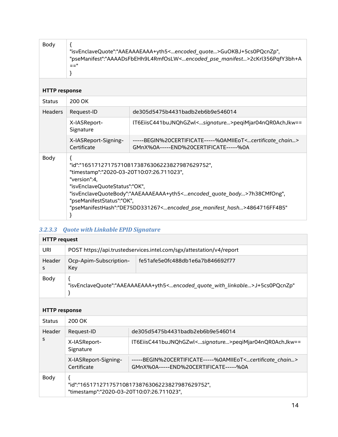| Body                 | "isvEnclaveQuote":"AAEAAAEAAA+yth5 <encoded_quote>GuOKBJ+5cs0PQcnZp",<br/>"pseManifest":"AAAADsFbEHh9L4RmfOsLW<encoded_pse_manifest>2cKrl356PqfY3bh+A<br/><math>=</math><math>=</math><math>"</math></encoded_pse_manifest></encoded_quote>                                                                                                                                         |                                                                                                                          |
|----------------------|-------------------------------------------------------------------------------------------------------------------------------------------------------------------------------------------------------------------------------------------------------------------------------------------------------------------------------------------------------------------------------------|--------------------------------------------------------------------------------------------------------------------------|
| <b>HTTP response</b> |                                                                                                                                                                                                                                                                                                                                                                                     |                                                                                                                          |
| <b>Status</b>        | 200 OK                                                                                                                                                                                                                                                                                                                                                                              |                                                                                                                          |
| <b>Headers</b>       | Request-ID                                                                                                                                                                                                                                                                                                                                                                          | de305d5475b4431badb2eb6b9e546014                                                                                         |
|                      | X-IASReport-<br>Signature                                                                                                                                                                                                                                                                                                                                                           | IT6EiisC441buJNQhGZwl <signature>peqiMjar04nQR0AchJkw==</signature>                                                      |
|                      | X-IASReport-Signing-<br>Certificate                                                                                                                                                                                                                                                                                                                                                 | -----BEGIN%20CERTIFICATE-----%0AMIIEoT <certificate_chain><br/>GMnX%0A-----END%20CERTIFICATE-----%0A</certificate_chain> |
| Body                 | "id":"165171271757108173876306223827987629752",<br>"timestamp":"2020-03-20T10:07:26.711023",<br>"version":4.<br>"isvEnclaveQuoteStatus":"OK",<br>"isvEnclaveQuoteBody":"AAEAAAEAAA+yth5 <encoded_quote_body>7h38CMfOng",<br/>"pseManifestStatus":"OK",<br/>"pseManifestHash":"DE75DD331267<encoded_pse_manifest_hash>4864716FF4B5"</encoded_pse_manifest_hash></encoded_quote_body> |                                                                                                                          |

## <span id="page-13-0"></span>*3.2.3.3 Quote with Linkable EPID Signature*

| <b>HTTP request</b> |                                                                                                             |                                  |
|---------------------|-------------------------------------------------------------------------------------------------------------|----------------------------------|
| URI                 | POST https://api.trustedservices.intel.com/sgx/attestation/v4/report                                        |                                  |
| Header              | Ocp-Apim-Subscription-<br>Key                                                                               | fe51afe5e0fc488db1e6a7b846692f77 |
| Body                | "isvEnclaveQuote":"AAEAAAEAAA+yth5 <encoded_quote_with_linkable>J+5cs0PQcnZp"</encoded_quote_with_linkable> |                                  |

#### **HTTP response**

| <b>Status</b> | 200 OK                                                                                       |                                                                                                                       |
|---------------|----------------------------------------------------------------------------------------------|-----------------------------------------------------------------------------------------------------------------------|
| Header<br>s   | Request-ID                                                                                   | de305d5475b4431badb2eb6b9e546014                                                                                      |
|               | X-IASReport-<br>Signature                                                                    | IT6EiisC441buJNQhGZwl <signature>peqiMjar04nQR0AchJkw==</signature>                                                   |
|               | X-IASReport-Signing-<br>Certificate                                                          | -----BEGIN%20CERTIFICATE-----%0AMIIEoT <certificate chain=""><br/>GMnX%0A-----END%20CERTIFICATE-----%0A</certificate> |
| Body          | "id":"165171271757108173876306223827987629752",<br>"timestamp":"2020-03-20T10:07:26.711023", |                                                                                                                       |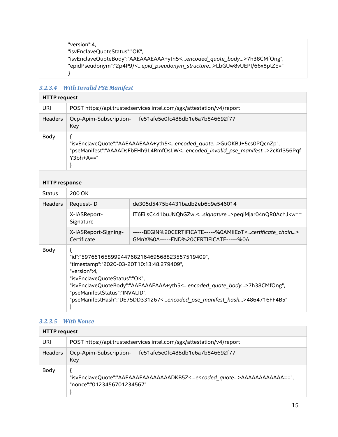| "epidPseudonym":"2p4P9/ <epid pseudonym="" structure="">LbGUw8vUEPI/66x8ptZE="</epid> |  | "version":4.<br>"isvEnclaveQuoteStatus":"OK",<br>"isvEnclaveQuoteBody":"AAEAAAEAAA+yth5 <encoded_quote_body>7h38CMfOng",</encoded_quote_body> |
|---------------------------------------------------------------------------------------|--|-----------------------------------------------------------------------------------------------------------------------------------------------|
|---------------------------------------------------------------------------------------|--|-----------------------------------------------------------------------------------------------------------------------------------------------|

## <span id="page-14-0"></span>*3.2.3.4 With Invalid PSE Manifest*

| <b>HTTP request</b> |                               |                                                                                                                                                                                                     |
|---------------------|-------------------------------|-----------------------------------------------------------------------------------------------------------------------------------------------------------------------------------------------------|
| URI                 |                               | POST https://api.trustedservices.intel.com/sgx/attestation/v4/report                                                                                                                                |
| <b>Headers</b>      | Ocp-Apim-Subscription-<br>Key | fe51afe5e0fc488db1e6a7b846692f77                                                                                                                                                                    |
| Body                | $Y3bh+A=="$                   | "isvEnclaveQuote":"AAEAAAEAAA+yth5 <encoded quote="">GuOKBJ+5cs0PQcnZp",<br/>"pseManifest":"AAAADsFbEHh9L4RmfOsLW<encoded_invalid_pse_manifest>2cKrl356Pqf</encoded_invalid_pse_manifest></encoded> |

#### **HTTP response**

| <b>Status</b>  | 200 OK                                                                                                                                                                                                                                                                                                                                                                         |                                                                                                                       |
|----------------|--------------------------------------------------------------------------------------------------------------------------------------------------------------------------------------------------------------------------------------------------------------------------------------------------------------------------------------------------------------------------------|-----------------------------------------------------------------------------------------------------------------------|
| <b>Headers</b> | Request-ID                                                                                                                                                                                                                                                                                                                                                                     | de305d5475b4431badb2eb6b9e546014                                                                                      |
|                | X-IASReport-<br>Signature                                                                                                                                                                                                                                                                                                                                                      | IT6EiisC441buJNQhGZwl <signature>peqiMjar04nQR0AchJkw==</signature>                                                   |
|                | X-IASReport-Signing-<br>Certificate                                                                                                                                                                                                                                                                                                                                            | -----BEGIN%20CERTIFICATE-----%0AMIIEoT <certificate chain=""><br/>GMnX%0A-----END%20CERTIFICATE-----%0A</certificate> |
| Body           | "id":"59765165899944768216469568823557519409",<br>"timestamp":"2020-03-20T10:13:48.279409",<br>"version":4.<br>"isvEnclaveQuoteStatus":"OK",<br>"isvEnclaveQuoteBody":"AAEAAAEAAA+yth5 <encoded_quote_body>7h38CMfOng",<br/>"pseManifestStatus":"INVALID",<br/>"pseManifestHash":"DE75DD331267<encoded hash="" manifest="" pse="">4864716FF4B5"</encoded></encoded_quote_body> |                                                                                                                       |

#### <span id="page-14-1"></span>*3.2.3.5 With Nonce*

| <b>HTTP request</b> |                                                                                                                     |                                                                      |
|---------------------|---------------------------------------------------------------------------------------------------------------------|----------------------------------------------------------------------|
| URI                 |                                                                                                                     | POST https://api.trustedservices.intel.com/sgx/attestation/v4/report |
| <b>Headers</b>      | Ocp-Apim-Subscription-<br>Key                                                                                       | fe51afe5e0fc488db1e6a7b846692f77                                     |
| Body                | "isvEnclaveQuote":"AAEAAAEAAAAAAAADKB5Z <encoded quote="">AAAAAAAAAAAA==",<br/>"nonce":"0123456701234567"</encoded> |                                                                      |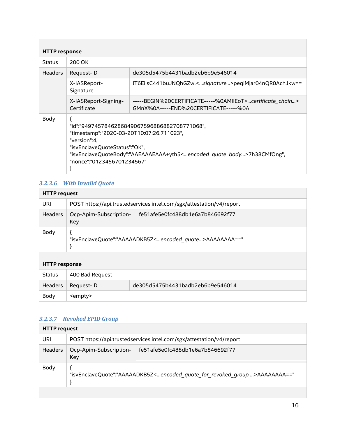| <b>HTTP response</b> |                                                                                                                                                                                                                                                                       |                                                                                                                          |
|----------------------|-----------------------------------------------------------------------------------------------------------------------------------------------------------------------------------------------------------------------------------------------------------------------|--------------------------------------------------------------------------------------------------------------------------|
| <b>Status</b>        | 200 OK                                                                                                                                                                                                                                                                |                                                                                                                          |
| <b>Headers</b>       | Request-ID                                                                                                                                                                                                                                                            | de305d5475b4431badb2eb6b9e546014                                                                                         |
|                      | X-IASReport-<br>Signature                                                                                                                                                                                                                                             | lT6EiisC441buJNQhGZwl <signature>peqiMjar04nQR0AchJkw==</signature>                                                      |
|                      | X-IASReport-Signing-<br>Certificate                                                                                                                                                                                                                                   | -----BEGIN%20CERTIFICATE-----%0AMIIEoT <certificate_chain><br/>GMnX%0A-----END%20CERTIFICATE-----%0A</certificate_chain> |
| Body                 | "id":"9497457846286849067596886882708771068",<br>"timestamp":"2020-03-20T10:07:26.711023",<br>"version":4,<br>"isvEnclaveQuoteStatus":"OK",<br>"isvEnclaveQuoteBody":"AAEAAAEAAA+yth5 <encoded body="" quote="">7h38CMfOng",<br/>"nonce":"0123456701234567"</encoded> |                                                                                                                          |

## <span id="page-15-0"></span>*3.2.3.6 With Invalid Quote*

| <b>HTTP request</b>  |                                                                             |                                                                      |
|----------------------|-----------------------------------------------------------------------------|----------------------------------------------------------------------|
| URI                  |                                                                             | POST https://api.trustedservices.intel.com/sgx/attestation/v4/report |
| <b>Headers</b>       | Ocp-Apim-Subscription-<br>Key                                               | fe51afe5e0fc488db1e6a7b846692f77                                     |
| Body                 | "isvEnclaveQuote":"AAAAADKB5Z <encoded quote="">AAAAAAAA=="<br/>}</encoded> |                                                                      |
| <b>HTTP response</b> |                                                                             |                                                                      |
| <b>Status</b>        | 400 Bad Request                                                             |                                                                      |
| <b>Headers</b>       | Request-ID                                                                  | de305d5475b4431badb2eb6b9e546014                                     |
| Body                 | <empty></empty>                                                             |                                                                      |

#### <span id="page-15-1"></span>*3.2.3.7 Revoked EPID Group*

| <b>HTTP request</b> |                                                                                                              |                                  |
|---------------------|--------------------------------------------------------------------------------------------------------------|----------------------------------|
| URI                 | POST https://api.trustedservices.intel.com/sgx/attestation/v4/report                                         |                                  |
| Headers             | Ocp-Apim-Subscription-<br>Key                                                                                | fe51afe5e0fc488db1e6a7b846692f77 |
| Body                | "isvEnclaveQuote":"AAAAADKB5Z <encoded_quote_for_revoked_group>AAAAAAAA=="</encoded_quote_for_revoked_group> |                                  |
|                     |                                                                                                              |                                  |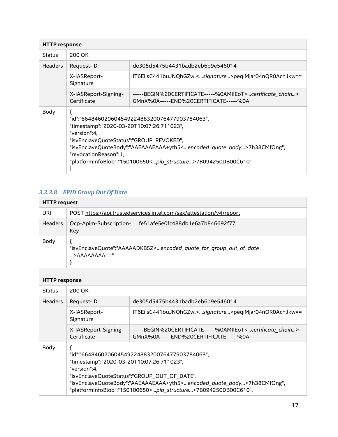| <b>HTTP response</b> |                                                                                                                                                                                                                                                                                                                                                         |                                                                                                                          |
|----------------------|---------------------------------------------------------------------------------------------------------------------------------------------------------------------------------------------------------------------------------------------------------------------------------------------------------------------------------------------------------|--------------------------------------------------------------------------------------------------------------------------|
| <b>Status</b>        | 200 OK                                                                                                                                                                                                                                                                                                                                                  |                                                                                                                          |
| <b>Headers</b>       | Request-ID                                                                                                                                                                                                                                                                                                                                              | de305d5475b4431badb2eb6b9e546014                                                                                         |
|                      | X-IASReport-<br>Signature                                                                                                                                                                                                                                                                                                                               | IT6EiisC441buJNQhGZwl <signature>peqiMjar04nQR0AchJkw==</signature>                                                      |
|                      | X-IASReport-Signing-<br>Certificate                                                                                                                                                                                                                                                                                                                     | -----BEGIN%20CERTIFICATE-----%0AMIIEoT <certificate_chain><br/>GMnX%0A-----END%20CERTIFICATE-----%0A</certificate_chain> |
| Body                 | "id":"66484602060454922488320076477903784063",<br>"timestamp":"2020-03-20T10:07:26.711023",<br>"version":4,<br>"isvEnclaveQuoteStatus":"GROUP REVOKED",<br>"isvEnclaveQuoteBody":"AAEAAAEAAA+yth5 <encoded body="" quote="">7h38CMfOng",<br/>"revocationReason":1,<br/>"platformInfoBlob":"150100650<pib structure="">7B094250DB00C610"</pib></encoded> |                                                                                                                          |

## <span id="page-16-0"></span>*3.2.3.8 EPID Group Out Of Date*

| <b>HTTP request</b> |                                                                      |                                                                                                                   |
|---------------------|----------------------------------------------------------------------|-------------------------------------------------------------------------------------------------------------------|
| URI                 | POST https://api.trustedservices.intel.com/sgx/attestation/v4/report |                                                                                                                   |
| Headers             | Ocp-Apim-Subscription-<br>Key                                        | fe51afe5e0fc488db1e6a7b846692f77                                                                                  |
| Body                | $\ldots$ >AAAAAAAA=="                                                | "isvEnclaveQuote":"AAAAADKB5Z <encoded_quote_for_group_out_of_date< td=""></encoded_quote_for_group_out_of_date<> |
|                     |                                                                      |                                                                                                                   |

### **HTTP response**

| <b>Status</b>  | 200 OK                                                                                                                                                                                                                                                                                                                                    |                                                                                                                       |  |
|----------------|-------------------------------------------------------------------------------------------------------------------------------------------------------------------------------------------------------------------------------------------------------------------------------------------------------------------------------------------|-----------------------------------------------------------------------------------------------------------------------|--|
| <b>Headers</b> | Request-ID                                                                                                                                                                                                                                                                                                                                | de305d5475b4431badb2eb6b9e546014                                                                                      |  |
|                | X-IASReport-<br>Signature                                                                                                                                                                                                                                                                                                                 | IT6EiisC441buJNQhGZwl <signature>peqiMjar04nQR0AchJkw==</signature>                                                   |  |
|                | X-IASReport-Signing-<br>Certificate                                                                                                                                                                                                                                                                                                       | -----BEGIN%20CERTIFICATE-----%0AMIIEoT <certificate chain=""><br/>GMnX%0A-----END%20CERTIFICATE-----%0A</certificate> |  |
| Body           | "id":"66484602060454922488320076477903784063",<br>"timestamp":"2020-03-20T10:07:26.711023",<br>"version":4,<br>"isvEnclaveQuoteStatus":"GROUP OUT OF DATE",<br>"isvEnclaveQuoteBody":"AAEAAAEAAA+yth5 <encoded body="" quote="">7h38CMfOng",<br/>"platformInfoBlob":"150100650<pib_structure>7B094250DB00C610",</pib_structure></encoded> |                                                                                                                       |  |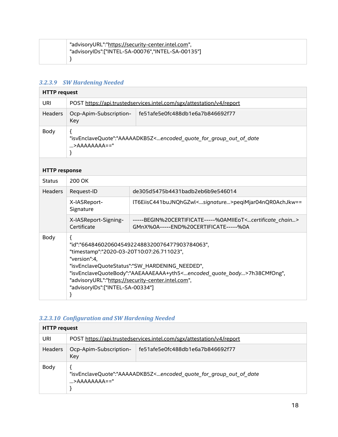| "advisoryURL":"https://security-center.intel.com", |
|----------------------------------------------------|
| "advisoryIDs":["INTEL-SA-00076","INTEL-SA-00135"]  |
|                                                    |

# <span id="page-17-0"></span>*3.2.3.9 SW Hardening Needed*

| <b>HTTP</b> request |                                                                      |                                                                                                        |  |
|---------------------|----------------------------------------------------------------------|--------------------------------------------------------------------------------------------------------|--|
| URI                 | POST https://api.trustedservices.intel.com/sgx/attestation/v4/report |                                                                                                        |  |
| Headers             | Ocp-Apim-Subscription-<br>Key                                        | fe51afe5e0fc488db1e6a7b846692f77                                                                       |  |
| Body                | $\ldots$ >AAAAAAAA=="                                                | "isvEnclaveQuote":"AAAAADKB5Z <encoded date<="" for="" group="" of="" out="" quote="" td=""></encoded> |  |

#### **HTTP response**

| <b>Status</b>  | 200 OK                                                                                                                                                                                                                                                                                                                                               |                                                                                                                       |
|----------------|------------------------------------------------------------------------------------------------------------------------------------------------------------------------------------------------------------------------------------------------------------------------------------------------------------------------------------------------------|-----------------------------------------------------------------------------------------------------------------------|
| <b>Headers</b> | Request-ID                                                                                                                                                                                                                                                                                                                                           | de305d5475b4431badb2eb6b9e546014                                                                                      |
|                | X-IASReport-<br>Signature                                                                                                                                                                                                                                                                                                                            | IT6EiisC441buJNQhGZwl <signature>peqiMjar04nQR0AchJkw==</signature>                                                   |
|                | X-IASReport-Signing-<br>Certificate                                                                                                                                                                                                                                                                                                                  | -----BEGIN%20CERTIFICATE-----%0AMIIEoT <certificate chain=""><br/>GMnX%0A-----END%20CERTIFICATE-----%0A</certificate> |
| Body           | "id":"66484602060454922488320076477903784063",<br>"timestamp":"2020-03-20T10:07:26.711023",<br>"version":4.<br>"isvEnclaveQuoteStatus":"SW HARDENING NEEDED",<br>"isvEnclaveQuoteBody":"AAEAAAEAAA+yth5 <encoded body="" quote="">7h38CMfOng",<br/>"advisoryURL":"https://security-center.intel.com",<br/>"advisoryIDs":["INTEL-SA-00334"]</encoded> |                                                                                                                       |

## <span id="page-17-1"></span>*3.2.3.10 Configuration and SW Hardening Needed*

| <b>HTTP request</b> |                                                                                                                                                   |                                  |
|---------------------|---------------------------------------------------------------------------------------------------------------------------------------------------|----------------------------------|
| URI                 | POST https://api.trustedservices.intel.com/sgx/attestation/v4/report                                                                              |                                  |
| <b>Headers</b>      | Ocp-Apim-Subscription-<br>Key                                                                                                                     | fe51afe5e0fc488db1e6a7b846692f77 |
| Body                | "isvEnclaveQuote":"AAAAADKB5Z <encoded_quote_for_group_out_of_date<br><math>\ldots</math>&gt;AAAAAAAA=="</encoded_quote_for_group_out_of_date<br> |                                  |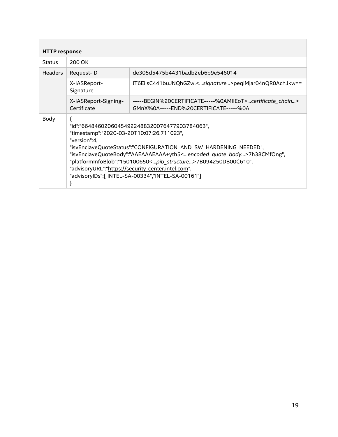<span id="page-18-0"></span>

| <b>HTTP response</b> |                                                                                                                                                                                                                                                                                                                                                                                                                                                                                 |                                                                                                                          |  |
|----------------------|---------------------------------------------------------------------------------------------------------------------------------------------------------------------------------------------------------------------------------------------------------------------------------------------------------------------------------------------------------------------------------------------------------------------------------------------------------------------------------|--------------------------------------------------------------------------------------------------------------------------|--|
| <b>Status</b>        | 200 OK                                                                                                                                                                                                                                                                                                                                                                                                                                                                          |                                                                                                                          |  |
| <b>Headers</b>       | Request-ID                                                                                                                                                                                                                                                                                                                                                                                                                                                                      | de305d5475b4431badb2eb6b9e546014                                                                                         |  |
|                      | X-IASReport-<br>Signature                                                                                                                                                                                                                                                                                                                                                                                                                                                       | IT6EiisC441buJNQhGZwl <signature>peqiMjar04nQR0AchJkw==</signature>                                                      |  |
|                      | X-IASReport-Signing-<br>Certificate                                                                                                                                                                                                                                                                                                                                                                                                                                             | -----BEGIN%20CERTIFICATE-----%0AMIIEoT <certificate_chain><br/>GMnX%0A-----END%20CERTIFICATE-----%0A</certificate_chain> |  |
| Body                 | "id":"66484602060454922488320076477903784063",<br>"timestamp":"2020-03-20T10:07:26.711023",<br>"version":4,<br>"isvEnclaveQuoteStatus":"CONFIGURATION_AND_SW_HARDENING_NEEDED",<br>"isvEnclaveQuoteBody":"AAEAAAEAAA+yth5 <encoded_quote_body>7h38CMfOng",<br/>"platformInfoBlob":"150100650<pib_structure>7B094250DB00C610",<br/>"advisoryURL":"https://security-center.intel.com",<br/>"advisoryIDs":["INTEL-SA-00334","INTEL-SA-00161"]</pib_structure></encoded_quote_body> |                                                                                                                          |  |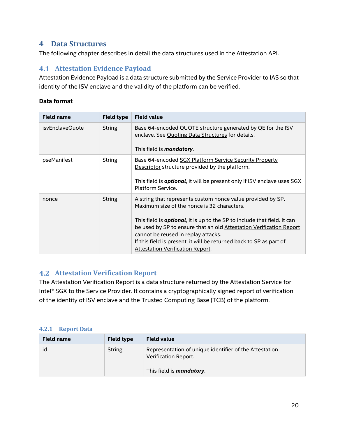## <span id="page-19-0"></span>**4 Data Structures**

The following chapter describes in detail the data structures used in the Attestation API.

## <span id="page-19-1"></span>**Attestation Evidence Payload**

Attestation Evidence Payload is a data structure submitted by the Service Provider to IAS so that identity of the ISV enclave and the validity of the platform can be verified.

#### **Data format**

| <b>Field name</b> | <b>Field type</b> | <b>Field value</b>                                                                                                                                                                                                                                                                                                                                                                                                             |
|-------------------|-------------------|--------------------------------------------------------------------------------------------------------------------------------------------------------------------------------------------------------------------------------------------------------------------------------------------------------------------------------------------------------------------------------------------------------------------------------|
| isvEnclaveQuote   | <b>String</b>     | Base 64-encoded QUOTE structure generated by QE for the ISV<br>enclave. See Quoting Data Structures for details.<br>This field is <b>mandatory</b> .                                                                                                                                                                                                                                                                           |
| pseManifest       | <b>String</b>     | Base 64-encoded SGX Platform Service Security Property<br>Descriptor structure provided by the platform.<br>This field is <b>optional</b> , it will be present only if ISV enclave uses SGX<br>Platform Service.                                                                                                                                                                                                               |
| nonce             | <b>String</b>     | A string that represents custom nonce value provided by SP.<br>Maximum size of the nonce is 32 characters.<br>This field is <b>optional</b> , it is up to the SP to include that field. It can<br>be used by SP to ensure that an old Attestation Verification Report<br>cannot be reused in replay attacks.<br>If this field is present, it will be returned back to SP as part of<br><b>Attestation Verification Report.</b> |

## <span id="page-19-2"></span>**Attestation Verification Report**

The Attestation Verification Report is a data structure returned by the Attestation Service for Intel® SGX to the Service Provider. It contains a cryptographically signed report of verification of the identity of ISV enclave and the Trusted Computing Base (TCB) of the platform.

#### <span id="page-19-3"></span>**4.2.1 Report Data**

| <b>Field name</b> | Field type | <b>Field value</b>                                                             |
|-------------------|------------|--------------------------------------------------------------------------------|
| id                | String     | Representation of unique identifier of the Attestation<br>Verification Report. |
|                   |            | This field is <i>mandatory</i> .                                               |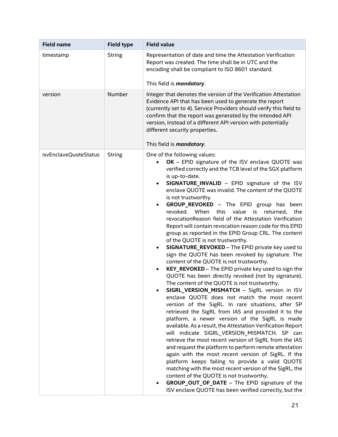| <b>Field name</b>     | <b>Field type</b> | <b>Field value</b>                                                                                                                                                                                                                                                                                                                                                                                                                                                                                                                                                                                                                                                                                                                                                                                                                                                                                                                                                                                                                                                                                                                                                                                                                                                                                                                                                                                                                                                                                                                                                                                                                                                                                                                                                                                                  |
|-----------------------|-------------------|---------------------------------------------------------------------------------------------------------------------------------------------------------------------------------------------------------------------------------------------------------------------------------------------------------------------------------------------------------------------------------------------------------------------------------------------------------------------------------------------------------------------------------------------------------------------------------------------------------------------------------------------------------------------------------------------------------------------------------------------------------------------------------------------------------------------------------------------------------------------------------------------------------------------------------------------------------------------------------------------------------------------------------------------------------------------------------------------------------------------------------------------------------------------------------------------------------------------------------------------------------------------------------------------------------------------------------------------------------------------------------------------------------------------------------------------------------------------------------------------------------------------------------------------------------------------------------------------------------------------------------------------------------------------------------------------------------------------------------------------------------------------------------------------------------------------|
| timestamp             | <b>String</b>     | Representation of date and time the Attestation Verification<br>Report was created. The time shall be in UTC and the<br>encoding shall be compliant to ISO 8601 standard.<br>This field is <i>mandatory</i> .                                                                                                                                                                                                                                                                                                                                                                                                                                                                                                                                                                                                                                                                                                                                                                                                                                                                                                                                                                                                                                                                                                                                                                                                                                                                                                                                                                                                                                                                                                                                                                                                       |
| version               | Number            | Integer that denotes the version of the Verification Attestation<br>Evidence API that has been used to generate the report<br>(currently set to 4). Service Providers should verify this field to<br>confirm that the report was generated by the intended API<br>version, instead of a different API version with potentially<br>different security properties.<br>This field is <i>mandatory</i> .                                                                                                                                                                                                                                                                                                                                                                                                                                                                                                                                                                                                                                                                                                                                                                                                                                                                                                                                                                                                                                                                                                                                                                                                                                                                                                                                                                                                                |
| isvEnclaveQuoteStatus | <b>String</b>     | One of the following values:<br>OK - EPID signature of the ISV enclave QUOTE was<br>verified correctly and the TCB level of the SGX platform<br>is up-to-date.<br>SIGNATURE INVALID - EPID signature of the ISV<br>enclave QUOTE was invalid. The content of the QUOTE<br>is not trustworthy.<br><b>GROUP_REVOKED</b> - The EPID group has been<br>When<br>revoked.<br>this<br>value<br>returned.<br>the<br>is<br>revocationReason field of the Attestation Verification<br>Report will contain revocation reason code for this EPID<br>group as reported in the EPID Group CRL. The content<br>of the QUOTE is not trustworthy.<br>SIGNATURE_REVOKED - The EPID private key used to<br>$\bullet$<br>sign the QUOTE has been revoked by signature. The<br>content of the QUOTE is not trustworthy.<br>KEY_REVOKED - The EPID private key used to sign the<br>$\bullet$<br>QUOTE has been directly revoked (not by signature).<br>The content of the QUOTE is not trustworthy.<br>SIGRL VERSION MISMATCH - SigRL version in ISV<br>enclave QUOTE does not match the most recent<br>version of the SigRL. In rare situations, after SP<br>retrieved the SigRL from IAS and provided it to the<br>platform, a newer version of the SigRL is made<br>available. As a result, the Attestation Verification Report<br>will indicate SIGRL VERSION MISMATCH. SP can<br>retrieve the most recent version of SigRL from the IAS<br>and request the platform to perform remote attestation<br>again with the most recent version of SigRL. If the<br>platform keeps failing to provide a valid QUOTE<br>matching with the most recent version of the SigRL, the<br>content of the QUOTE is not trustworthy.<br><b>GROUP_OUT_OF_DATE</b> - The EPID signature of the<br>ISV enclave QUOTE has been verified correctly, but the |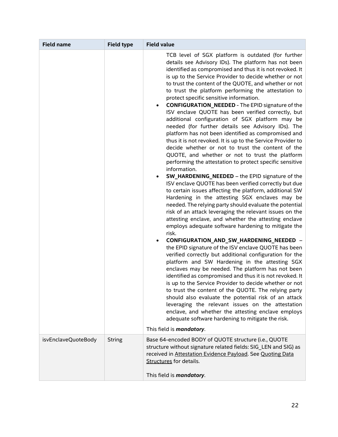| <b>Field name</b>   | <b>Field type</b> | <b>Field value</b>                                                                                                                                                                                                                                                                                                                                                                                                                                                                                                                                                                                                                                                                                                                                                                                                                                                                                                                                                                                                                                                                                                                                                                                                                                                                                                                                                                                                                                                                                                                                                                                                                                                                                                                                                                                                                                                                                                                                                                                                                                                                                                    |  |  |
|---------------------|-------------------|-----------------------------------------------------------------------------------------------------------------------------------------------------------------------------------------------------------------------------------------------------------------------------------------------------------------------------------------------------------------------------------------------------------------------------------------------------------------------------------------------------------------------------------------------------------------------------------------------------------------------------------------------------------------------------------------------------------------------------------------------------------------------------------------------------------------------------------------------------------------------------------------------------------------------------------------------------------------------------------------------------------------------------------------------------------------------------------------------------------------------------------------------------------------------------------------------------------------------------------------------------------------------------------------------------------------------------------------------------------------------------------------------------------------------------------------------------------------------------------------------------------------------------------------------------------------------------------------------------------------------------------------------------------------------------------------------------------------------------------------------------------------------------------------------------------------------------------------------------------------------------------------------------------------------------------------------------------------------------------------------------------------------------------------------------------------------------------------------------------------------|--|--|
|                     |                   | TCB level of SGX platform is outdated (for further<br>details see Advisory IDs). The platform has not been<br>identified as compromised and thus it is not revoked. It<br>is up to the Service Provider to decide whether or not<br>to trust the content of the QUOTE, and whether or not<br>to trust the platform performing the attestation to<br>protect specific sensitive information.<br><b>CONFIGURATION_NEEDED - The EPID signature of the</b><br>ISV enclave QUOTE has been verified correctly, but<br>additional configuration of SGX platform may be<br>needed (for further details see Advisory IDs). The<br>platform has not been identified as compromised and<br>thus it is not revoked. It is up to the Service Provider to<br>decide whether or not to trust the content of the<br>QUOTE, and whether or not to trust the platform<br>performing the attestation to protect specific sensitive<br>information.<br>SW_HARDENING_NEEDED - the EPID signature of the<br>ISV enclave QUOTE has been verified correctly but due<br>to certain issues affecting the platform, additional SW<br>Hardening in the attesting SGX enclaves may be<br>needed. The relying party should evaluate the potential<br>risk of an attack leveraging the relevant issues on the<br>attesting enclave, and whether the attesting enclave<br>employs adequate software hardening to mitigate the<br>risk.<br>CONFIGURATION_AND_SW_HARDENING_NEEDED -<br>the EPID signature of the ISV enclave QUOTE has been<br>verified correctly but additional configuration for the<br>platform and SW Hardening in the attesting SGX<br>enclaves may be needed. The platform has not been<br>identified as compromised and thus it is not revoked. It<br>is up to the Service Provider to decide whether or not<br>to trust the content of the QUOTE. The relying party<br>should also evaluate the potential risk of an attack<br>leveraging the relevant issues on the attestation<br>enclave, and whether the attesting enclave employs<br>adequate software hardening to mitigate the risk.<br>This field is <i>mandatory</i> . |  |  |
| isvEnclaveQuoteBody | <b>String</b>     | Base 64-encoded BODY of QUOTE structure (i.e., QUOTE<br>structure without signature related fields: SIG_LEN and SIG) as<br>received in Attestation Evidence Payload. See Quoting Data<br><b>Structures</b> for details.<br>This field is <i>mandatory</i> .                                                                                                                                                                                                                                                                                                                                                                                                                                                                                                                                                                                                                                                                                                                                                                                                                                                                                                                                                                                                                                                                                                                                                                                                                                                                                                                                                                                                                                                                                                                                                                                                                                                                                                                                                                                                                                                           |  |  |
|                     |                   |                                                                                                                                                                                                                                                                                                                                                                                                                                                                                                                                                                                                                                                                                                                                                                                                                                                                                                                                                                                                                                                                                                                                                                                                                                                                                                                                                                                                                                                                                                                                                                                                                                                                                                                                                                                                                                                                                                                                                                                                                                                                                                                       |  |  |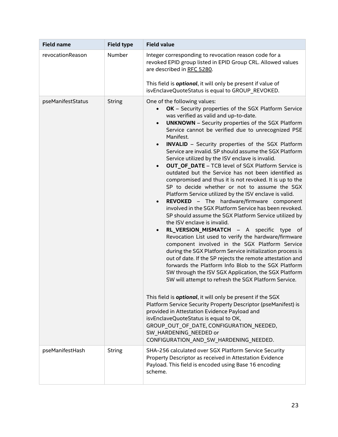| <b>Field name</b> | <b>Field type</b> | <b>Field value</b>                                                                                                                                                                                                                                                                                                                                                                                                                                                                                                                                                                                                                                                                                                                                                                                                                                                                                                                                                                                                                                                                                                                                                                                                                                                                                                                                                                                                                                                                                                                                                                                                                                                                                                                     |  |  |
|-------------------|-------------------|----------------------------------------------------------------------------------------------------------------------------------------------------------------------------------------------------------------------------------------------------------------------------------------------------------------------------------------------------------------------------------------------------------------------------------------------------------------------------------------------------------------------------------------------------------------------------------------------------------------------------------------------------------------------------------------------------------------------------------------------------------------------------------------------------------------------------------------------------------------------------------------------------------------------------------------------------------------------------------------------------------------------------------------------------------------------------------------------------------------------------------------------------------------------------------------------------------------------------------------------------------------------------------------------------------------------------------------------------------------------------------------------------------------------------------------------------------------------------------------------------------------------------------------------------------------------------------------------------------------------------------------------------------------------------------------------------------------------------------------|--|--|
| revocationReason  | Number            | Integer corresponding to revocation reason code for a<br>revoked EPID group listed in EPID Group CRL. Allowed values<br>are described in RFC 5280.                                                                                                                                                                                                                                                                                                                                                                                                                                                                                                                                                                                                                                                                                                                                                                                                                                                                                                                                                                                                                                                                                                                                                                                                                                                                                                                                                                                                                                                                                                                                                                                     |  |  |
|                   |                   | This field is <i>optional</i> , it will only be present if value of<br>isvEnclaveQuoteStatus is equal to GROUP_REVOKED.                                                                                                                                                                                                                                                                                                                                                                                                                                                                                                                                                                                                                                                                                                                                                                                                                                                                                                                                                                                                                                                                                                                                                                                                                                                                                                                                                                                                                                                                                                                                                                                                                |  |  |
| pseManifestStatus | <b>String</b>     | One of the following values:<br>OK - Security properties of the SGX Platform Service<br>was verified as valid and up-to-date.<br><b>UNKNOWN</b> - Security properties of the SGX Platform<br>Service cannot be verified due to unrecognized PSE<br>Manifest.<br><b>INVALID</b> - Security properties of the SGX Platform<br>Service are invalid. SP should assume the SGX Platform<br>Service utilized by the ISV enclave is invalid.<br><b>OUT OF DATE - TCB level of SGX Platform Service is</b><br>outdated but the Service has not been identified as<br>compromised and thus it is not revoked. It is up to the<br>SP to decide whether or not to assume the SGX<br>Platform Service utilized by the ISV enclave is valid.<br>REVOKED - The hardware/firmware component<br>involved in the SGX Platform Service has been revoked.<br>SP should assume the SGX Platform Service utilized by<br>the ISV enclave is invalid.<br>RL_VERSION_MISMATCH - A specific type of<br>Revocation List used to verify the hardware/firmware<br>component involved in the SGX Platform Service<br>during the SGX Platform Service initialization process is<br>out of date. If the SP rejects the remote attestation and<br>forwards the Platform Info Blob to the SGX Platform<br>SW through the ISV SGX Application, the SGX Platform<br>SW will attempt to refresh the SGX Platform Service.<br>This field is <b>optional</b> , it will only be present if the SGX<br>Platform Service Security Property Descriptor (pseManifest) is<br>provided in Attestation Evidence Payload and<br>isvEnclaveQuoteStatus is equal to OK,<br>GROUP_OUT_OF_DATE, CONFIGURATION_NEEDED,<br>SW HARDENING NEEDED or<br>CONFIGURATION AND SW HARDENING NEEDED. |  |  |
| pseManifestHash   | <b>String</b>     | SHA-256 calculated over SGX Platform Service Security<br>Property Descriptor as received in Attestation Evidence<br>Payload. This field is encoded using Base 16 encoding<br>scheme.                                                                                                                                                                                                                                                                                                                                                                                                                                                                                                                                                                                                                                                                                                                                                                                                                                                                                                                                                                                                                                                                                                                                                                                                                                                                                                                                                                                                                                                                                                                                                   |  |  |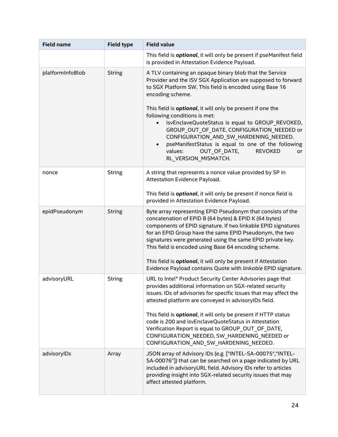| <b>Field name</b> | <b>Field type</b> | <b>Field value</b>                                                                                                                                                                                                                                                                                                                                                                                                                                                                                                                                                                                     |  |  |
|-------------------|-------------------|--------------------------------------------------------------------------------------------------------------------------------------------------------------------------------------------------------------------------------------------------------------------------------------------------------------------------------------------------------------------------------------------------------------------------------------------------------------------------------------------------------------------------------------------------------------------------------------------------------|--|--|
|                   |                   | This field is <i>optional</i> , it will only be present if pseManifest field<br>is provided in Attestation Evidence Payload.                                                                                                                                                                                                                                                                                                                                                                                                                                                                           |  |  |
| platformInfoBlob  | <b>String</b>     | A TLV containing an opaque binary blob that the Service<br>Provider and the ISV SGX Application are supposed to forward<br>to SGX Platform SW. This field is encoded using Base 16<br>encoding scheme.<br>This field is <i>optional</i> , it will only be present if one the<br>following conditions is met:<br>isvEnclaveQuoteStatus is equal to GROUP_REVOKED,<br>$\bullet$<br>GROUP_OUT_OF_DATE, CONFIGURATION_NEEDED or<br>CONFIGURATION_AND_SW_HARDENING_NEEDED.<br>pseManifestStatus is equal to one of the following<br>OUT_OF_DATE,<br><b>REVOKED</b><br>values:<br>or<br>RL VERSION MISMATCH. |  |  |
| nonce             | <b>String</b>     | A string that represents a nonce value provided by SP in<br>Attestation Evidence Payload.<br>This field is <b>optional</b> , it will only be present if nonce field is<br>provided in Attestation Evidence Payload.                                                                                                                                                                                                                                                                                                                                                                                    |  |  |
| epidPseudonym     | <b>String</b>     | Byte array representing EPID Pseudonym that consists of the<br>concatenation of EPID B (64 bytes) & EPID K (64 bytes)<br>components of EPID signature. If two linkable EPID signatures<br>for an EPID Group have the same EPID Pseudonym, the two<br>signatures were generated using the same EPID private key.<br>This field is encoded using Base 64 encoding scheme.<br>This field is <i>optional</i> , it will only be present if Attestation<br>Evidence Payload contains Quote with linkable EPID signature.                                                                                     |  |  |
| advisoryURL       | <b>String</b>     | URL to Intel® Product Security Center Advisories page that<br>provides additional information on SGX-related security<br>issues. IDs of advisories for specific issues that may affect the<br>attested platform are conveyed in advisoryIDs field.<br>This field is <b>optional</b> , it will only be present if HTTP status<br>code is 200 and isvEnclaveQuoteStatus in Attestation<br>Verification Report is equal to GROUP OUT OF DATE,<br>CONFIGURATION NEEDED, SW HARDENING NEEDED or<br>CONFIGURATION_AND_SW_HARDENING_NEEDED.                                                                   |  |  |
| advisoryIDs       | Array             | JSON array of Advisory IDs (e.g. ["INTEL-SA-00075", "INTEL-<br>SA-00076"]) that can be searched on a page indicated by URL<br>included in advisoryURL field. Advisory IDs refer to articles<br>providing insight into SGX-related security issues that may<br>affect attested platform.                                                                                                                                                                                                                                                                                                                |  |  |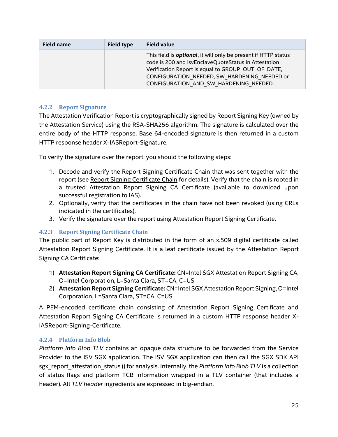| <b>Field name</b> | <b>Field type</b> | <b>Field value</b>                                                                                                                                                                                                                                                             |  |
|-------------------|-------------------|--------------------------------------------------------------------------------------------------------------------------------------------------------------------------------------------------------------------------------------------------------------------------------|--|
|                   |                   | This field is <b>optional</b> , it will only be present if HTTP status<br>code is 200 and isvEnclaveQuoteStatus in Attestation<br>Verification Report is equal to GROUP OUT OF DATE,<br>CONFIGURATION NEEDED, SW HARDENING NEEDED or<br>CONFIGURATION AND SW HARDENING NEEDED. |  |

#### <span id="page-24-0"></span>**4.2.2 Report Signature**

The Attestation Verification Report is cryptographically signed by Report Signing Key (owned by the Attestation Service) using the RSA-SHA256 algorithm. The signature is calculated over the entire body of the HTTP response. Base 64-encoded signature is then returned in a custom HTTP response header X-IASReport-Signature.

To verify the signature over the report, you should the following steps:

- 1. Decode and verify the Report Signing Certificate Chain that was sent together with the report (see [Report Signing Certificate Chain](#page-24-1) for details). Verify that the chain is rooted in a trusted Attestation Report Signing CA Certificate (available to download upon successful registration to IAS).
- 2. Optionally, verify that the certificates in the chain have not been revoked (using CRLs indicated in the certificates).
- 3. Verify the signature over the report using Attestation Report Signing Certificate.

## <span id="page-24-1"></span>**4.2.3 Report Signing Certificate Chain**

The public part of Report Key is distributed in the form of an x.509 digital certificate called Attestation Report Signing Certificate. It is a leaf certificate issued by the Attestation Report Signing CA Certificate:

- 1) **Attestation Report Signing CA Certificate:** CN=Intel SGX Attestation Report Signing CA, O=Intel Corporation, L=Santa Clara, ST=CA, C=US
- 2) **Attestation Report Signing Certificate:** CN=Intel SGX Attestation Report Signing, O=Intel Corporation, L=Santa Clara, ST=CA, C=US

A PEM-encoded certificate chain consisting of Attestation Report Signing Certificate and Attestation Report Signing CA Certificate is returned in a custom HTTP response header X-IASReport-Signing-Certificate.

## <span id="page-24-2"></span>**4.2.4 Platform Info Blob**

*Platform Info Blob TLV* contains an opaque data structure to be forwarded from the Service Provider to the ISV SGX application. The ISV SGX application can then call the SGX SDK API sgx\_report\_attestation\_status () for analysis. Internally, the *Platform Info Blob TLV* is a collection of status flags and platform TCB information wrapped in a TLV container (that includes a header). All *TLV header* ingredients are expressed in big-endian.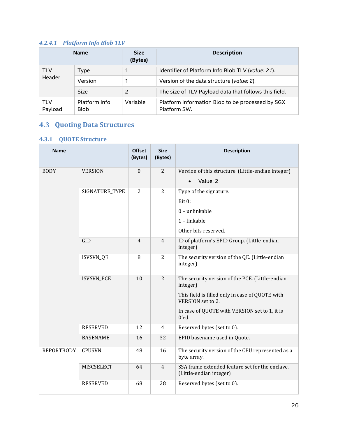#### <span id="page-25-0"></span>*4.2.4.1 Platform Info Blob TLV*

|                | <b>Name</b>                  | <b>Size</b><br>(Bytes) | <b>Description</b>                                               |
|----------------|------------------------------|------------------------|------------------------------------------------------------------|
| <b>TLV</b>     | <b>Type</b>                  |                        | Identifier of Platform Info Blob TLV (value: 21).                |
| Header         | Version                      |                        | Version of the data structure (value: 2).                        |
|                | <b>Size</b>                  |                        | The size of TLV Payload data that follows this field.            |
| TLV<br>Payload | Platform Info<br><b>Blob</b> | Variable               | Platform Information Blob to be processed by SGX<br>Platform SW. |

# <span id="page-25-1"></span>**Quoting Data Structures**

# <span id="page-25-2"></span>**4.3.1 QUOTE Structure**

| <b>Name</b>       |                   | <b>Offset</b><br>(Bytes) | <b>Size</b><br>(Bytes) | <b>Description</b>                                                         |
|-------------------|-------------------|--------------------------|------------------------|----------------------------------------------------------------------------|
| <b>BODY</b>       | <b>VERSION</b>    | $\Omega$                 | 2                      | Version of this structure. (Little-endian integer)                         |
|                   |                   |                          |                        | Value: 2<br>$\bullet$                                                      |
|                   | SIGNATURE_TYPE    | $\overline{2}$           | 2                      | Type of the signature.                                                     |
|                   |                   |                          |                        | Bit 0:                                                                     |
|                   |                   |                          |                        | $0$ – unlinkable                                                           |
|                   |                   |                          |                        | 1-linkable                                                                 |
|                   |                   |                          |                        | Other bits reserved.                                                       |
|                   | GID               | 4                        | $\overline{4}$         | ID of platform's EPID Group. (Little-endian<br>integer)                    |
|                   | <b>ISVSVN_QE</b>  | 8                        | 2                      | The security version of the QE. (Little-endian<br>integer)                 |
|                   | <b>ISVSVN_PCE</b> | 10                       | 2                      | The security version of the PCE. (Little-endian<br>integer)                |
|                   |                   |                          |                        | This field is filled only in case of QUOTE with<br>VERSION set to 2.       |
|                   |                   |                          |                        | In case of QUOTE with VERSION set to 1, it is<br>$0'$ ed.                  |
|                   | <b>RESERVED</b>   | 12                       | 4                      | Reserved bytes (set to 0).                                                 |
|                   | <b>BASENAME</b>   | 16                       | 32                     | EPID basename used in Quote.                                               |
| <b>REPORTBODY</b> | <b>CPUSVN</b>     | 48                       | 16                     | The security version of the CPU represented as a<br>byte array.            |
|                   | MISCSELECT        | 64                       | $\overline{4}$         | SSA frame extended feature set for the enclave.<br>(Little-endian integer) |
|                   | <b>RESERVED</b>   | 68                       | 28                     | Reserved bytes (set to 0).                                                 |